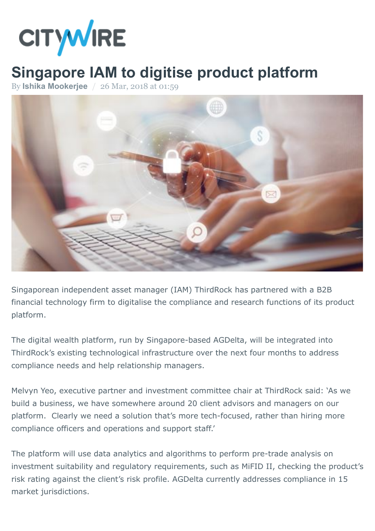

## **Singapore IAM to digitise product platform**

By **[Ishika Mookerjee](http://citywireasia.com/author/imookerjee)** / 26 Mar, 2018 at 01:59



Singaporean independent asset manager (IAM) ThirdRock has partnered with a B2B financial technology firm to digitalise the compliance and research functions of its product platform.

The digital wealth platform, run by Singapore-based AGDelta, will be integrated into ThirdRock's existing technological infrastructure over the next four months to address compliance needs and help relationship managers.

Melvyn Yeo, executive partner and investment committee chair at ThirdRock said: 'As we build a business, we have somewhere around 20 client advisors and managers on our platform. Clearly we need a solution that's more tech-focused, rather than hiring more compliance officers and operations and support staff.'

The platform will use data analytics and algorithms to perform pre-trade analysis on investment suitability and regulatory requirements, such as MiFID II, checking the product's risk rating against the client's risk profile. AGDelta currently addresses compliance in 15 market jurisdictions.